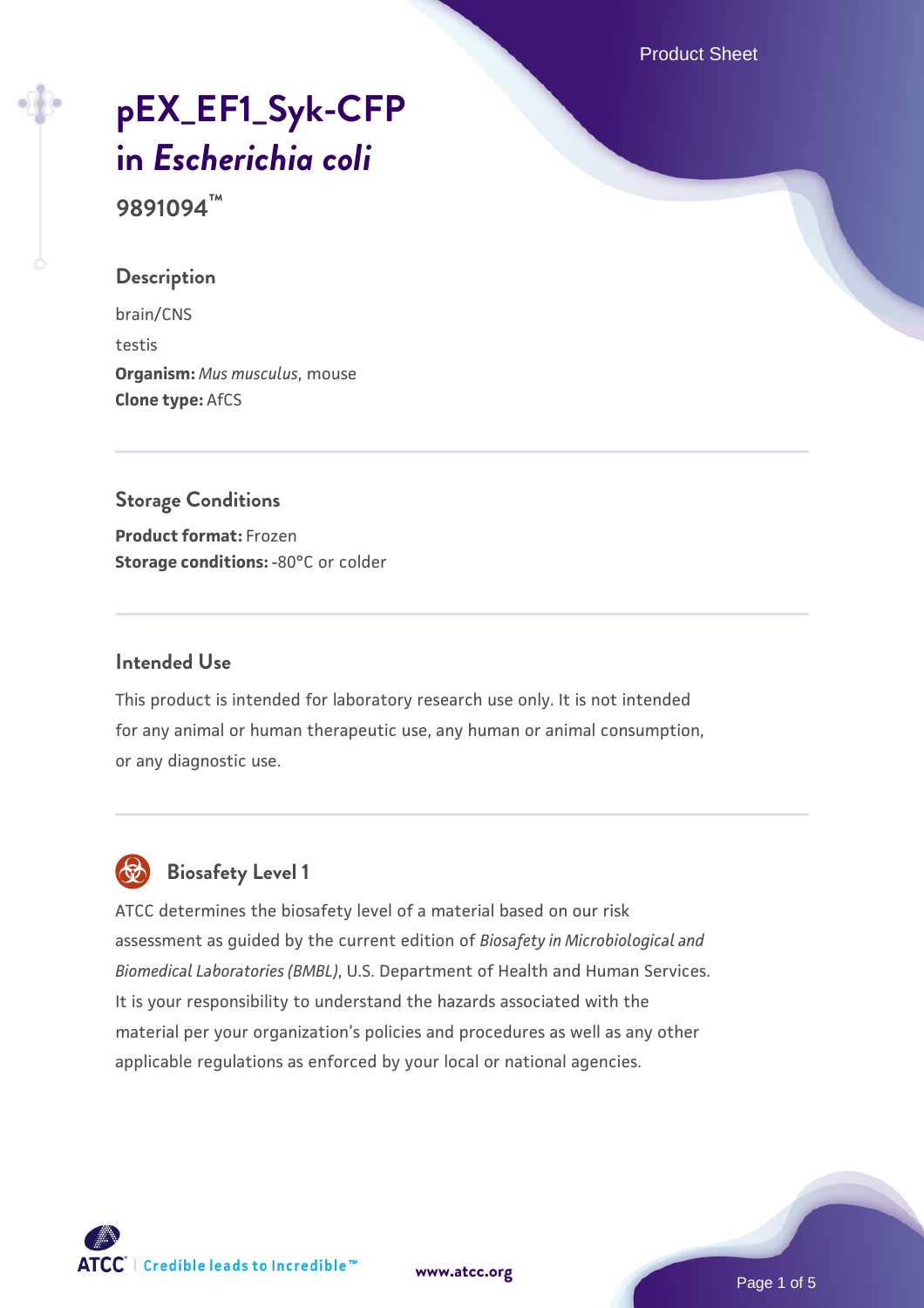Product Sheet

# **[pEX\\_EF1\\_Syk-CFP](https://www.atcc.org/products/9891094) [in](https://www.atcc.org/products/9891094)** *[Escherichia coli](https://www.atcc.org/products/9891094)*

**9891094™**

#### **Description**

brain/CNS testis **Organism:** *Mus musculus*, mouse **Clone type:** AfCS

## **Storage Conditions**

**Product format:** Frozen **Storage conditions: -80°C or colder** 

## **Intended Use**

This product is intended for laboratory research use only. It is not intended for any animal or human therapeutic use, any human or animal consumption, or any diagnostic use.



## **Biosafety Level 1**

ATCC determines the biosafety level of a material based on our risk assessment as guided by the current edition of *Biosafety in Microbiological and Biomedical Laboratories (BMBL)*, U.S. Department of Health and Human Services. It is your responsibility to understand the hazards associated with the material per your organization's policies and procedures as well as any other applicable regulations as enforced by your local or national agencies.

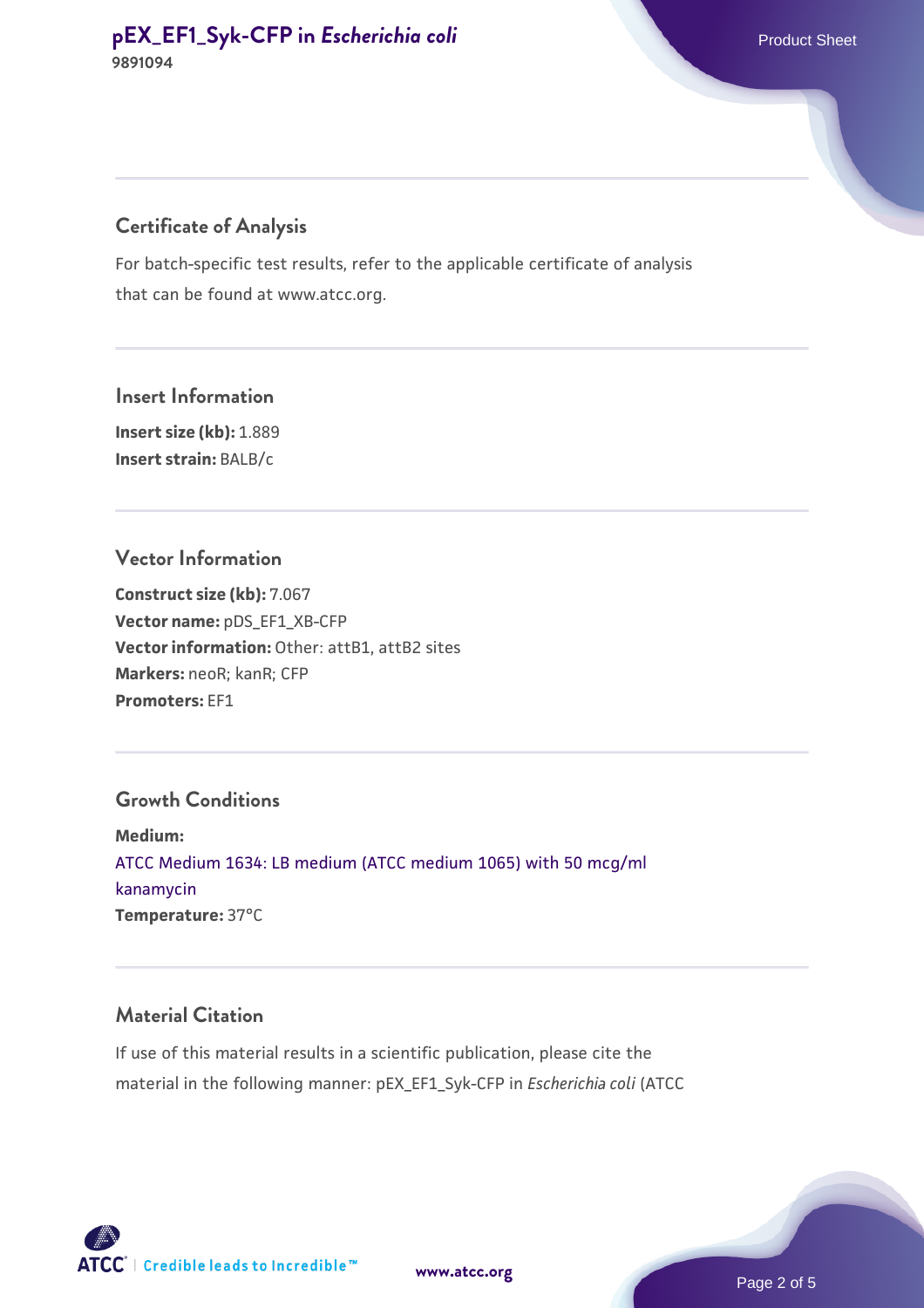## **Certificate of Analysis**

For batch-specific test results, refer to the applicable certificate of analysis that can be found at www.atcc.org.

**Insert Information Insert size (kb):** 1.889 **Insert strain:** BALB/c

#### **Vector Information**

**Construct size (kb):** 7.067 **Vector name:** pDS\_EF1\_XB-CFP **Vector information:** Other: attB1, attB2 sites **Markers:** neoR; kanR; CFP **Promoters:** EF1

#### **Growth Conditions**

**Medium:**  [ATCC Medium 1634: LB medium \(ATCC medium 1065\) with 50 mcg/ml](https://www.atcc.org/-/media/product-assets/documents/microbial-media-formulations/atcc-medium-1634.pdf?rev=9100ebf67eef43d7afdb8a87f81a33ad) [kanamycin](https://www.atcc.org/-/media/product-assets/documents/microbial-media-formulations/atcc-medium-1634.pdf?rev=9100ebf67eef43d7afdb8a87f81a33ad) **Temperature:** 37°C

#### **Material Citation**

If use of this material results in a scientific publication, please cite the material in the following manner: pEX\_EF1\_Syk-CFP in *Escherichia coli* (ATCC

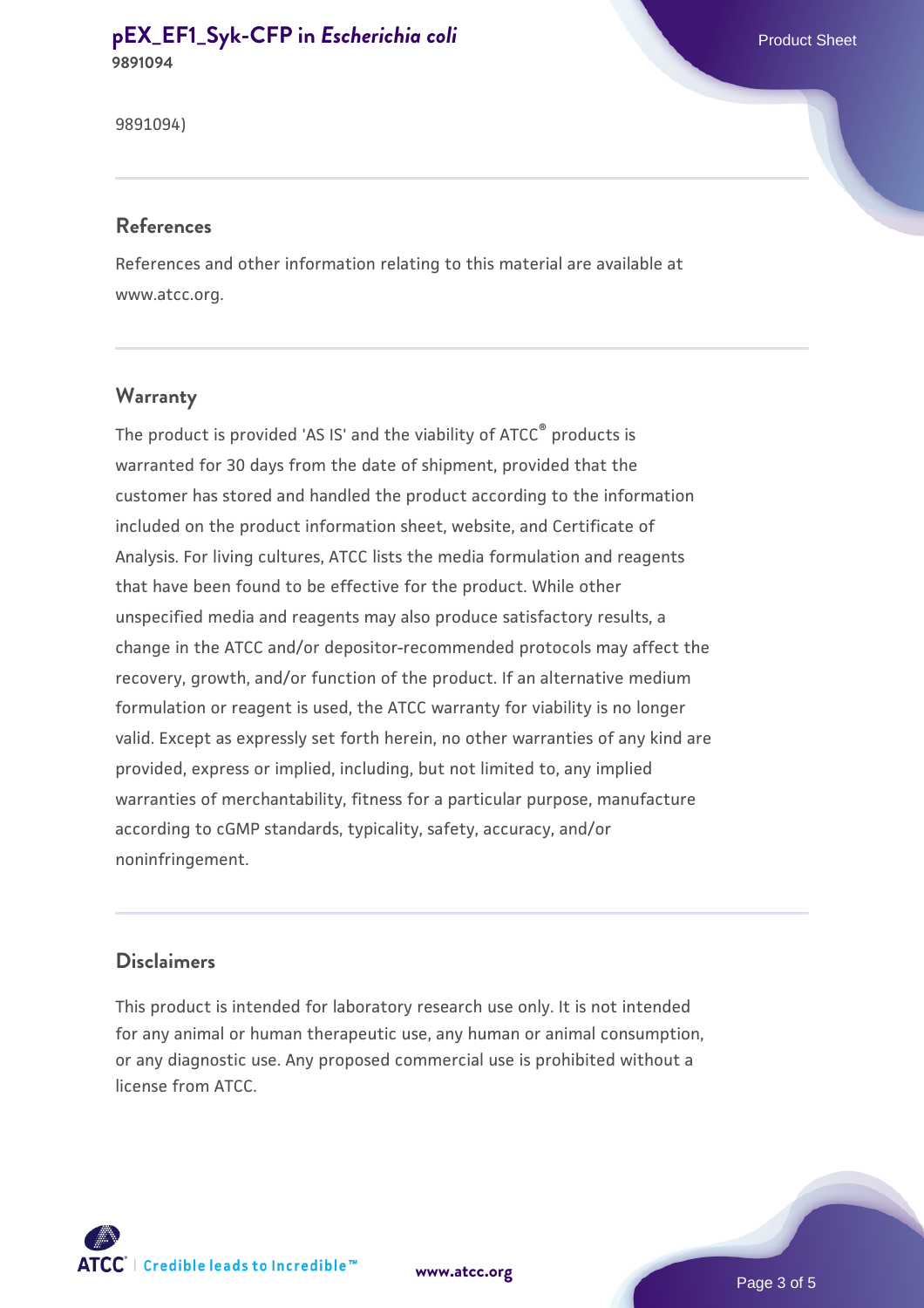## **[pEX\\_EF1\\_Syk-CFP in](https://www.atcc.org/products/9891094) [Escherichia coli](https://www.atcc.org/products/9891094)** Product Sheet **9891094**

9891094)

#### **References**

References and other information relating to this material are available at www.atcc.org.

#### **Warranty**

The product is provided 'AS IS' and the viability of ATCC® products is warranted for 30 days from the date of shipment, provided that the customer has stored and handled the product according to the information included on the product information sheet, website, and Certificate of Analysis. For living cultures, ATCC lists the media formulation and reagents that have been found to be effective for the product. While other unspecified media and reagents may also produce satisfactory results, a change in the ATCC and/or depositor-recommended protocols may affect the recovery, growth, and/or function of the product. If an alternative medium formulation or reagent is used, the ATCC warranty for viability is no longer valid. Except as expressly set forth herein, no other warranties of any kind are provided, express or implied, including, but not limited to, any implied warranties of merchantability, fitness for a particular purpose, manufacture according to cGMP standards, typicality, safety, accuracy, and/or noninfringement.

#### **Disclaimers**

This product is intended for laboratory research use only. It is not intended for any animal or human therapeutic use, any human or animal consumption, or any diagnostic use. Any proposed commercial use is prohibited without a license from ATCC.



**[www.atcc.org](http://www.atcc.org)**

Page 3 of 5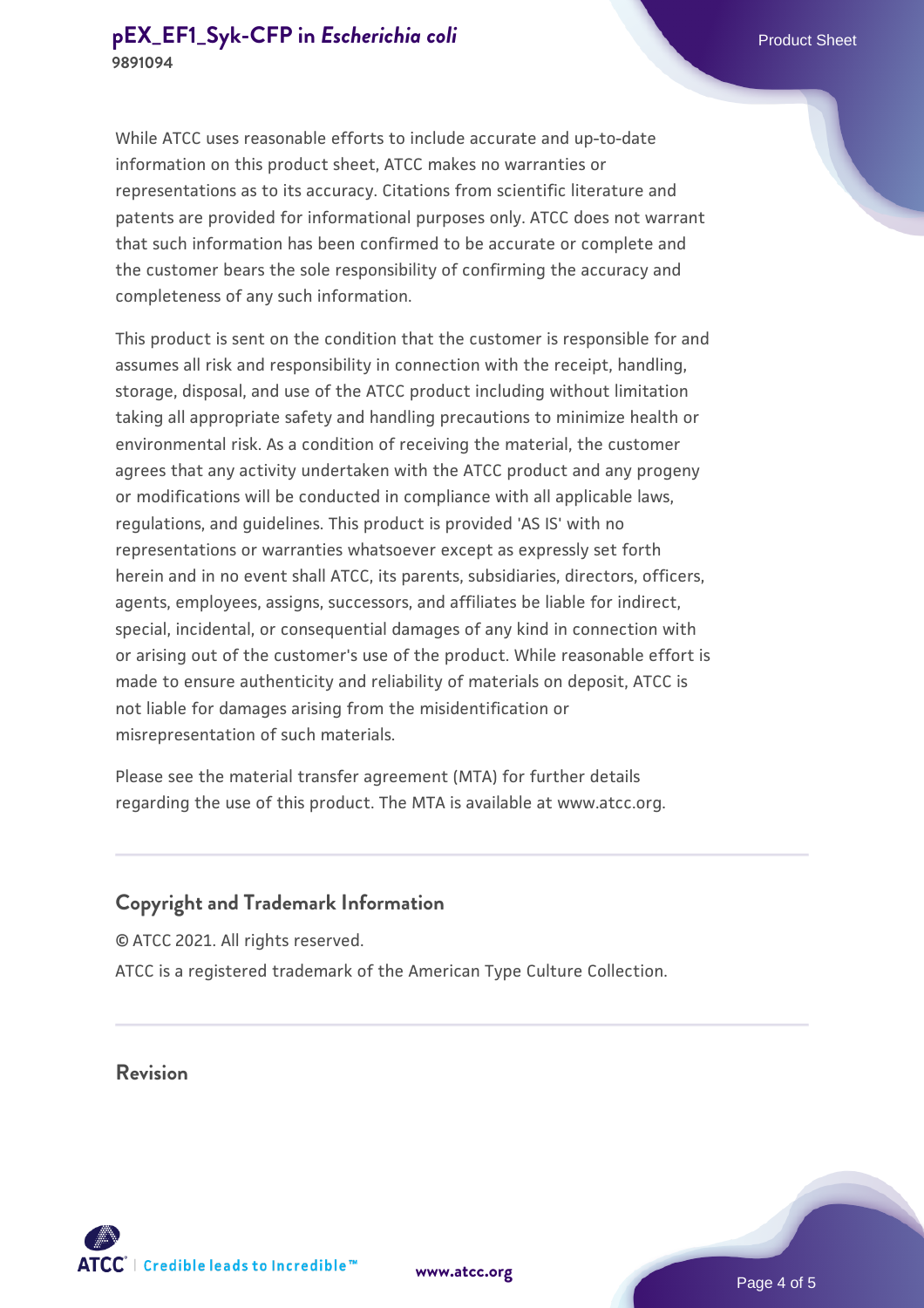While ATCC uses reasonable efforts to include accurate and up-to-date information on this product sheet, ATCC makes no warranties or representations as to its accuracy. Citations from scientific literature and patents are provided for informational purposes only. ATCC does not warrant that such information has been confirmed to be accurate or complete and the customer bears the sole responsibility of confirming the accuracy and completeness of any such information.

This product is sent on the condition that the customer is responsible for and assumes all risk and responsibility in connection with the receipt, handling, storage, disposal, and use of the ATCC product including without limitation taking all appropriate safety and handling precautions to minimize health or environmental risk. As a condition of receiving the material, the customer agrees that any activity undertaken with the ATCC product and any progeny or modifications will be conducted in compliance with all applicable laws, regulations, and guidelines. This product is provided 'AS IS' with no representations or warranties whatsoever except as expressly set forth herein and in no event shall ATCC, its parents, subsidiaries, directors, officers, agents, employees, assigns, successors, and affiliates be liable for indirect, special, incidental, or consequential damages of any kind in connection with or arising out of the customer's use of the product. While reasonable effort is made to ensure authenticity and reliability of materials on deposit, ATCC is not liable for damages arising from the misidentification or misrepresentation of such materials.

Please see the material transfer agreement (MTA) for further details regarding the use of this product. The MTA is available at www.atcc.org.

## **Copyright and Trademark Information**

© ATCC 2021. All rights reserved. ATCC is a registered trademark of the American Type Culture Collection.

**Revision**